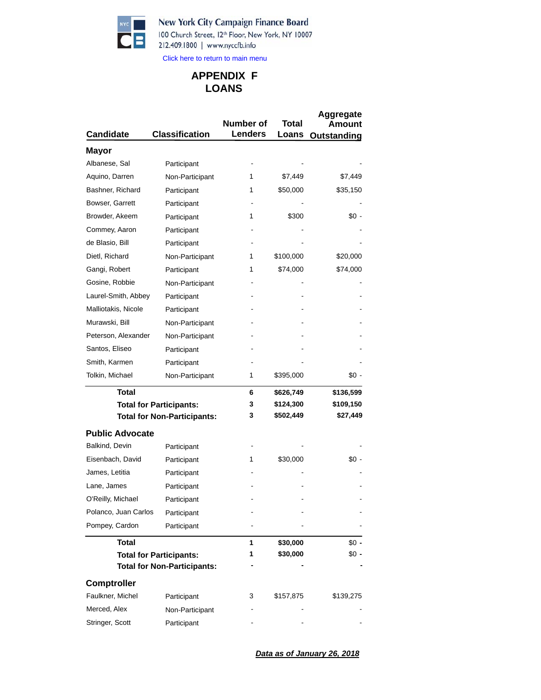

100 Church Street, 12th Floor, New York, NY 10007 212.409.1800 | www.nyccfb.info

Click here to return to main menu

# **LOANS APPENDIX F**

| <b>Candidate</b>               | <b>Classification</b>              | Number of<br><b>Lenders</b> | Total<br>Loans | Aggregate<br>Amou<br>nt<br>Outstanding |
|--------------------------------|------------------------------------|-----------------------------|----------------|----------------------------------------|
| Mayor                          |                                    |                             |                |                                        |
| Albanese, Sal                  | Participant                        |                             |                |                                        |
| Aquino, Darren                 | Non-Participant                    | 1                           | \$7,449        | \$7,449                                |
| Bashner, Richard               | Participant                        | 1                           | \$50,000       | \$35,150                               |
| Bowser, Garrett                | Participant                        |                             |                |                                        |
| Browder, Akeem                 | Participant                        | 1                           | \$300          | $$0 -$                                 |
| Commey, Aaron                  | Participant                        |                             |                |                                        |
| de Blasio, Bill                | Participant                        |                             |                |                                        |
| Dietl, Richard                 | Non-Participant                    | 1                           | \$100,000      | \$20,000                               |
| Gangi, Robert                  | Participant                        | 1                           | \$74,000       | \$74,000                               |
| Gosine, Robbie                 | Non-Participant                    |                             |                |                                        |
| Laurel-Smith, Abbey            | Participant                        |                             |                |                                        |
| Malliotakis, Nicole            | Participant                        |                             |                |                                        |
| Murawski, Bill                 | Non-Participant                    |                             |                |                                        |
| Peterson, Alexander            | Non-Participant                    |                             |                |                                        |
| Santos, Eliseo                 | Participant                        |                             |                |                                        |
| Smith, Karmen                  | Participant                        |                             |                |                                        |
| Tolkin, Michael                | Non-Participant                    | 1                           | \$395,000      | \$0 -                                  |
| Total                          |                                    | 6                           | \$626,749      | \$136,599                              |
|                                | <b>Total for Participants:</b>     | 3                           | \$124,300      | \$109,150                              |
|                                | <b>Total for Non-Participants:</b> | 3                           | \$502,449      | \$27,449                               |
| <b>Public Advocate</b>         |                                    |                             |                |                                        |
| Balkind, Devin                 | Participant                        |                             |                |                                        |
| Eisenbach, David               | Participant                        | 1                           | \$30,000       | \$0 -                                  |
| James, Letitia                 | Participant                        |                             |                |                                        |
| Lane, James                    | Participant                        |                             |                |                                        |
| O'Reilly, Michael              | Participant                        |                             |                |                                        |
| Polanco, Juan Carlos           | Participant                        |                             |                |                                        |
| Pompey, Cardon                 | Participant                        |                             |                |                                        |
| <b>Total</b>                   |                                    | 1                           | \$30,000       | $$0 -$                                 |
| <b>Total for Participants:</b> |                                    | 1                           | \$30,000       | \$0 -                                  |
|                                | <b>Total for Non-Participants:</b> |                             |                |                                        |
| <b>Comptroller</b>             |                                    |                             |                |                                        |
| Faulkner, Michel               | Participant                        | 3                           | \$157,875      | \$139,275                              |
| Merced, Alex                   | Non-Participant                    |                             |                |                                        |
| Stringer, Scott                | Participant                        |                             |                |                                        |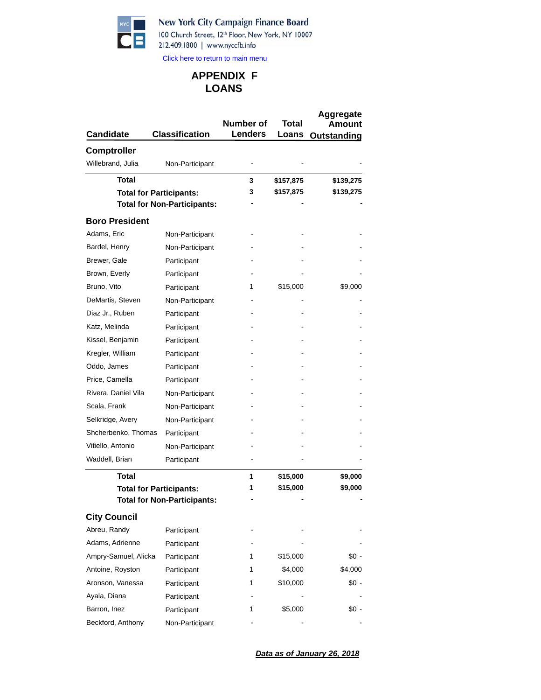

100 Church Street, 12th Floor, New York, NY 10007 212.409.1800 | www.nyccfb.info

Click here to return to main menu

## **LOANS APPENDIX F**

| <b>Candidate</b>      | <b>Classification</b>              | Number of<br><b>Lenders</b> | Total<br>Loans | Aggregate<br>Amou<br>Outstanding |
|-----------------------|------------------------------------|-----------------------------|----------------|----------------------------------|
| <b>Comptroller</b>    |                                    |                             |                |                                  |
| Willebrand, Julia     | Non-Participant                    |                             |                |                                  |
| <b>Total</b>          |                                    | 3                           | \$157,875      | \$139,275                        |
|                       | <b>Total for Participants:</b>     | З                           | \$157,875      | \$139,275                        |
|                       | <b>Total for Non-Participants:</b> |                             |                |                                  |
| <b>Boro President</b> |                                    |                             |                |                                  |
| Adams, Eric           | Non-Participant                    |                             |                |                                  |
| Bardel, Henry         | Non-Participant                    |                             |                |                                  |
| Brewer, Gale          | Participant                        |                             |                |                                  |
| Brown, Everly         | Participant                        |                             |                |                                  |
| Bruno, Vito           | Participant                        | 1                           | \$15,000       | \$9,000                          |
| DeMartis, Steven      | Non-Participant                    |                             |                |                                  |
| Diaz Jr., Ruben       | Participant                        |                             |                |                                  |
| Katz, Melinda         | Participant                        |                             |                |                                  |
| Kissel, Benjamin      | Participant                        |                             |                |                                  |
| Kregler, William      | Participant                        |                             |                |                                  |
| Oddo, James           | Participant                        |                             |                |                                  |
| Price, Camella        | Participant                        |                             |                |                                  |
| Rivera, Daniel Vila   | Non-Participant                    |                             |                |                                  |
| Scala, Frank          | Non-Participant                    |                             |                |                                  |
| Selkridge, Avery      | Non-Participant                    |                             |                |                                  |
| Shcherbenko, Thomas   | Participant                        |                             |                |                                  |
| Vitiello, Antonio     | Non-Participant                    |                             |                |                                  |
| Waddell, Brian        | Participant                        |                             |                |                                  |
| Total                 |                                    | 1                           | \$15,000       | \$9,000                          |
|                       | <b>Total for Participants:</b>     | 1                           | \$15,000       | \$9,000                          |
|                       | <b>Total for Non-Participants:</b> |                             |                |                                  |
| <b>City Council</b>   |                                    |                             |                |                                  |
| Abreu, Randy          | Participant                        |                             |                |                                  |
| Adams, Adrienne       | Participant                        |                             |                |                                  |
| Ampry-Samuel, Alicka  | Participant                        | 1                           | \$15,000       | \$0 -                            |
| Antoine, Royston      | Participant                        | 1                           | \$4,000        | \$4,000                          |
| Aronson, Vanessa      | Participant                        | 1                           | \$10,000       | \$0 -                            |
| Ayala, Diana          | Participant                        |                             |                |                                  |
| Barron, Inez          | Participant                        | 1                           | \$5,000        | \$0 -                            |
| Beckford, Anthony     | Non-Participant                    |                             |                |                                  |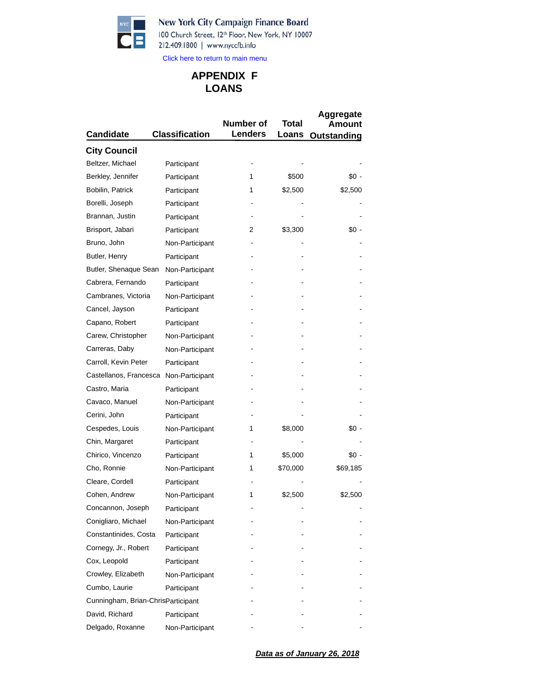$\blacksquare$  $\sqrt{2}$ 

## New York City Campaign Finance Board

100 Church Street, 12th Floor, New York, NY 10007 212.409.1800 | www.nyccfb.info

Click here to return to main menu

# **LOANS APPENDIX F**

| <b>Candidate</b>                   | <b>Classification</b> | Number of<br><b>Lenders</b> | Total<br>Loans | Aggregate<br>Amount<br>Outstanding |
|------------------------------------|-----------------------|-----------------------------|----------------|------------------------------------|
| <b>City Council</b>                |                       |                             |                |                                    |
| Beltzer, Michael                   | Participant           |                             |                |                                    |
| Berkley, Jennifer                  | Participant           | 1                           | \$500          | \$0 -                              |
| Bobilin, Patrick                   | Participant           | 1                           | \$2,500        | \$2,500                            |
| Borelli, Joseph                    | Participant           |                             |                |                                    |
| Brannan, Justin                    | Participant           |                             |                |                                    |
| Brisport, Jabari                   | Participant           | 2                           | \$3,300        | \$0 -                              |
| Bruno, John                        | Non-Participant       |                             |                |                                    |
| Butler, Henry                      | Participant           |                             |                |                                    |
| Butler, Shenaque Sean              | Non-Participant       |                             |                |                                    |
| Cabrera, Fernando                  | Participant           |                             |                |                                    |
| Cambranes, Victoria                | Non-Participant       |                             |                |                                    |
| Cancel, Jayson                     | Participant           |                             |                |                                    |
| Capano, Robert                     | Participant           |                             |                |                                    |
| Carew, Christopher                 | Non-Participant       |                             |                |                                    |
| Carreras, Daby                     | Non-Participant       |                             |                |                                    |
| Carroll, Kevin Peter               | Participant           |                             |                |                                    |
| Castellanos, Francesca             | Non-Participant       |                             |                |                                    |
| Castro, Maria                      | Participant           |                             |                |                                    |
| Cavaco, Manuel                     | Non-Participant       |                             |                |                                    |
| Cerini, John                       | Participant           |                             |                |                                    |
| Cespedes, Louis                    | Non-Participant       | 1                           | \$8,000        | \$0 -                              |
| Chin, Margaret                     | Participant           |                             |                |                                    |
| Chirico, Vincenzo                  | Participant           | 1                           | \$5,000        | \$0 -                              |
| Cho, Ronnie                        | Non-Participant       | 1                           | \$70,000       | \$69,185                           |
| Cleare, Cordell                    | Participant           |                             |                |                                    |
| Cohen, Andrew                      | Non-Participant       | 1                           | \$2,500        | \$2,500                            |
| Concannon, Joseph                  | Participant           |                             |                |                                    |
| Conigliaro, Michael                | Non-Participant       |                             |                |                                    |
| Constantinides, Costa              | Participant           |                             |                |                                    |
| Cornegy, Jr., Robert               | Participant           |                             |                |                                    |
| Cox, Leopold                       | Participant           |                             |                |                                    |
| Crowley, Elizabeth                 | Non-Participant       |                             |                |                                    |
| Cumbo, Laurie                      | Participant           |                             |                |                                    |
| Cunningham, Brian-ChrisParticipant |                       |                             |                |                                    |
| David, Richard                     | Participant           |                             |                |                                    |
| Delgado, Roxanne                   | Non-Participant       |                             |                |                                    |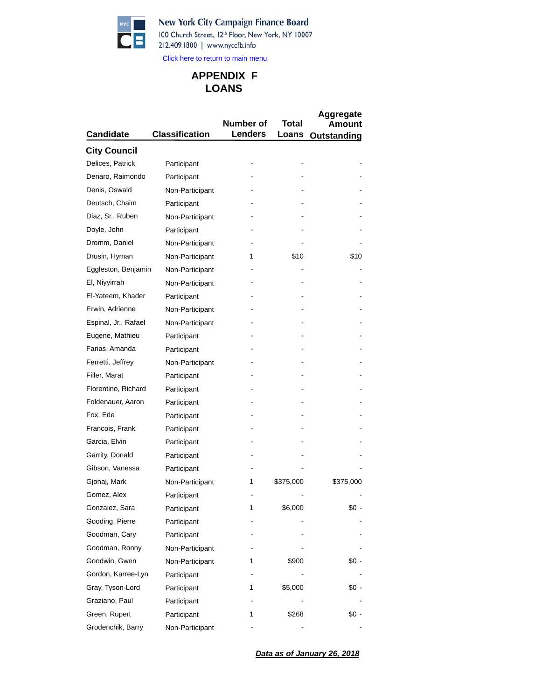

## New York City Campaign Finance Board

100 Church Street, 12th Floor, New York, NY 10007 212.409.1800 | www.nyccfb.info

Click here to return to main menu

## **LOANS APPENDIX F**

|                      |                       | Number of      | Total     | Aggregate             |
|----------------------|-----------------------|----------------|-----------|-----------------------|
| <b>Candidate</b>     | <b>Classification</b> | <b>Lenders</b> | Loans     | Amount<br>Outstanding |
| <b>City Council</b>  |                       |                |           |                       |
| Delices, Patrick     | Participant           |                |           |                       |
| Denaro, Raimondo     | Participant           |                |           |                       |
| Denis, Oswald        | Non-Participant       |                |           |                       |
| Deutsch, Chaim       | Participant           |                |           |                       |
| Diaz, Sr., Ruben     | Non-Participant       |                |           |                       |
| Doyle, John          | Participant           |                |           |                       |
| Dromm, Daniel        | Non-Participant       |                |           |                       |
| Drusin, Hyman        | Non-Participant       | 1              | \$10      | \$10                  |
| Eggleston, Benjamin  |                       |                |           |                       |
|                      | Non-Participant       |                |           |                       |
| El, Niyyirrah        | Non-Participant       |                |           |                       |
| El-Yateem, Khader    | Participant           |                |           |                       |
| Erwin, Adrienne      | Non-Participant       |                |           |                       |
| Espinal, Jr., Rafael | Non-Participant       |                |           |                       |
| Eugene, Mathieu      | Participant           |                |           |                       |
| Farias, Amanda       | Participant           |                |           |                       |
| Ferretti, Jeffrey    | Non-Participant       |                |           |                       |
| Filler, Marat        | Participant           |                |           |                       |
| Florentino, Richard  | Participant           |                |           |                       |
| Foldenauer, Aaron    | Participant           |                |           |                       |
| Fox, Ede             | Participant           |                |           |                       |
| Francois, Frank      | Participant           |                |           |                       |
| Garcia, Elvin        | Participant           |                |           |                       |
| Garrity, Donald      | Participant           |                |           |                       |
| Gibson, Vanessa      | Participant           |                |           |                       |
| Gjonaj, Mark         | Non-Participant       | 1              | \$375,000 | \$375,000             |
| Gomez, Alex          | Participant           |                |           |                       |
| Gonzalez, Sara       | Participant           | 1              | \$6,000   | \$0                   |
| Gooding, Pierre      | Participant           |                |           |                       |
| Goodman, Cary        | Participant           |                |           |                       |
| Goodman, Ronny       | Non-Participant       |                |           |                       |
| Goodwin, Gwen        | Non-Participant       | 1              | \$900     | \$0 -                 |
| Gordon, Karree-Lyn   | Participant           |                |           |                       |
| Gray, Tyson-Lord     | Participant           | 1              | \$5,000   | \$0 -                 |
| Graziano, Paul       | Participant           |                |           |                       |
| Green, Rupert        | Participant           | 1              | \$268     | \$0 -                 |
| Grodenchik, Barry    | Non-Participant       |                |           |                       |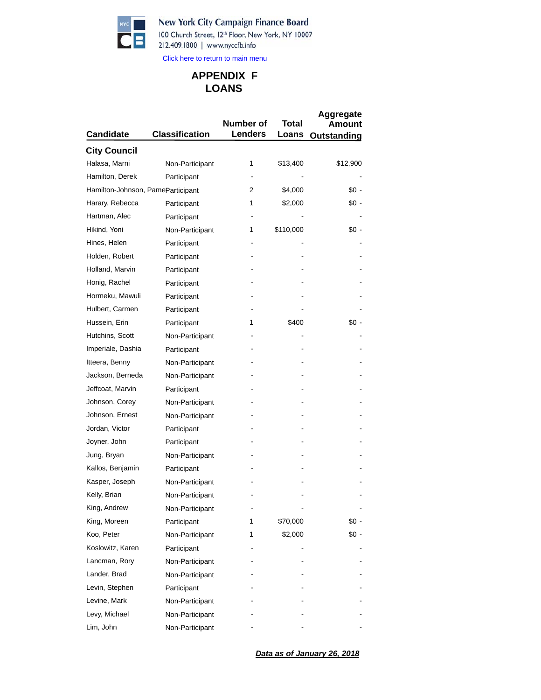New York City Campaign Finance Board 100 Church Street, 12th Floor, New York, NY 10007



212.409.1800 | www.nyccfb.info

Click here to return to main menu

# **LOANS APPENDIX F**

| <b>Candidate</b>                  | <b>Classification</b> | Number of<br><b>Lenders</b> | Total<br>Loans | <b>Aggregate</b><br>Amount<br>Outstanding |
|-----------------------------------|-----------------------|-----------------------------|----------------|-------------------------------------------|
| <b>City Council</b>               |                       |                             |                |                                           |
| Halasa, Marni                     | Non-Participant       | 1                           | \$13,400       | \$12,900                                  |
| Hamilton, Derek                   | Participant           |                             |                |                                           |
| Hamilton-Johnson, PameParticipant |                       | 2                           | \$4,000        | \$0 -                                     |
| Harary, Rebecca                   | Participant           | 1                           | \$2,000        | \$0 -                                     |
| Hartman, Alec                     | Participant           |                             |                |                                           |
| Hikind, Yoni                      | Non-Participant       | 1                           | \$110,000      | \$0 -                                     |
| Hines, Helen                      | Participant           |                             |                |                                           |
| Holden, Robert                    | Participant           |                             |                |                                           |
| Holland, Marvin                   | Participant           |                             |                |                                           |
| Honig, Rachel                     | Participant           |                             |                |                                           |
| Hormeku, Mawuli                   | Participant           |                             |                |                                           |
| Hulbert, Carmen                   | Participant           |                             |                |                                           |
| Hussein, Erin                     | Participant           | 1                           | \$400          | \$0 -                                     |
| Hutchins, Scott                   | Non-Participant       |                             |                |                                           |
| Imperiale, Dashia                 | Participant           |                             |                |                                           |
| Itteera, Benny                    | Non-Participant       |                             |                |                                           |
| Jackson, Berneda                  | Non-Participant       |                             |                |                                           |
| Jeffcoat, Marvin                  | Participant           |                             |                |                                           |
| Johnson, Corey                    | Non-Participant       |                             |                |                                           |
| Johnson, Ernest                   | Non-Participant       |                             |                |                                           |
| Jordan, Victor                    | Participant           |                             |                |                                           |
| Joyner, John                      | Participant           |                             |                |                                           |
| Jung, Bryan                       | Non-Participant       |                             |                |                                           |
| Kallos, Benjamin                  | Participant           |                             |                |                                           |
| Kasper, Joseph                    | Non-Participant       |                             |                |                                           |
| Kelly, Brian                      | Non-Participant       |                             |                |                                           |
| King, Andrew                      | Non-Participant       |                             |                |                                           |
| King, Moreen                      | Participant           | 1                           | \$70,000       | \$0 -                                     |
| Koo, Peter                        | Non-Participant       | 1                           | \$2,000        | \$0 -                                     |
| Koslowitz, Karen                  | Participant           |                             |                |                                           |
| Lancman, Rory                     | Non-Participant       |                             |                |                                           |
| Lander, Brad                      | Non-Participant       |                             |                |                                           |
| Levin, Stephen                    | Participant           |                             |                |                                           |
| Levine, Mark                      | Non-Participant       |                             |                |                                           |
| Levy, Michael                     | Non-Participant       |                             |                |                                           |
| Lim, John                         | Non-Participant       |                             |                |                                           |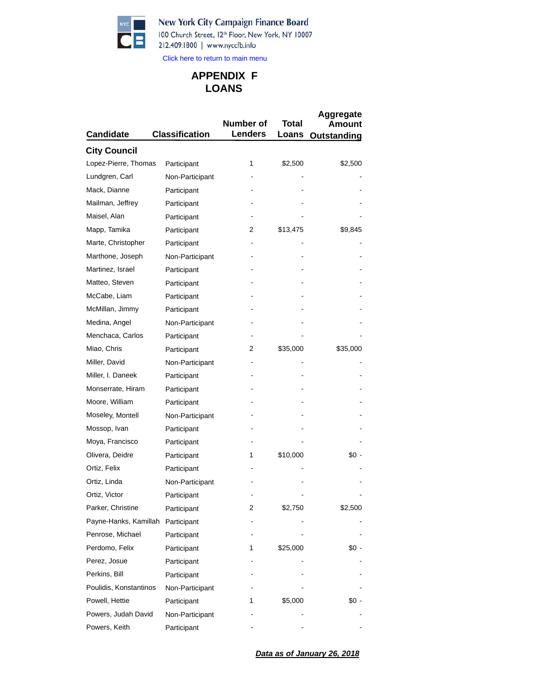B

## New York City Campaign Finance Board

100 Church Street, 12th Floor, New York, NY 10007 212.409.1800 | www.nyccfb.info

Click here to return to main menu

## **LOANS APPENDIX F**

| <b>Candidate</b>       | <b>Classification</b> | Number of<br><b>Lenders</b> | Total<br>Loans | Aggregate<br>Amount<br>Outstanding |
|------------------------|-----------------------|-----------------------------|----------------|------------------------------------|
| <b>City Council</b>    |                       |                             |                |                                    |
| Lopez-Pierre, Thomas   | Participant           | 1                           | \$2,500        | \$2,500                            |
| Lundgren, Carl         | Non-Participant       |                             |                |                                    |
| Mack, Dianne           | Participant           |                             |                |                                    |
| Mailman, Jeffrey       | Participant           |                             |                |                                    |
| Maisel, Alan           | Participant           |                             |                |                                    |
| Mapp, Tamika           | Participant           | 2                           | \$13,475       | \$9,845                            |
| Marte, Christopher     | Participant           |                             |                |                                    |
| Marthone, Joseph       | Non-Participant       |                             |                |                                    |
| Martinez, Israel       | Participant           |                             |                |                                    |
| Matteo, Steven         | Participant           |                             |                |                                    |
| McCabe, Liam           | Participant           |                             |                |                                    |
| McMillan, Jimmy        | Participant           |                             |                |                                    |
| Medina, Angel          | Non-Participant       |                             |                |                                    |
| Menchaca, Carlos       | Participant           |                             |                |                                    |
| Miao, Chris            | Participant           | 2                           | \$35,000       | \$35,000                           |
| Miller, David          | Non-Participant       |                             |                |                                    |
| Miller, I. Daneek      | Participant           |                             |                |                                    |
| Monserrate, Hiram      | Participant           |                             |                |                                    |
| Moore, William         | Participant           |                             |                |                                    |
| Moseley, Montell       | Non-Participant       |                             |                |                                    |
| Mossop, Ivan           | Participant           |                             |                |                                    |
| Moya, Francisco        | Participant           |                             |                |                                    |
| Olivera, Deidre        | Participant           | 1                           | \$10,000       | \$0 -                              |
| Ortiz, Felix           | Participant           |                             |                |                                    |
| Ortiz, Linda           | Non-Participant       |                             |                |                                    |
| Ortiz, Victor          | Participant           |                             |                |                                    |
| Parker, Christine      | Participant           | 2                           | \$2,750        | \$2,500                            |
| Payne-Hanks, Kamillah  | Participant           |                             |                |                                    |
| Penrose, Michael       | Participant           |                             |                |                                    |
| Perdomo, Felix         | Participant           | 1                           | \$25,000       | \$0 -                              |
| Perez, Josue           | Participant           |                             |                |                                    |
| Perkins, Bill          | Participant           |                             |                |                                    |
| Poulidis, Konstantinos | Non-Participant       |                             |                |                                    |
| Powell, Hettie         | Participant           | 1                           | \$5,000        | \$0 -                              |
| Powers, Judah David    | Non-Participant       |                             |                |                                    |
| Powers, Keith          | Participant           |                             |                |                                    |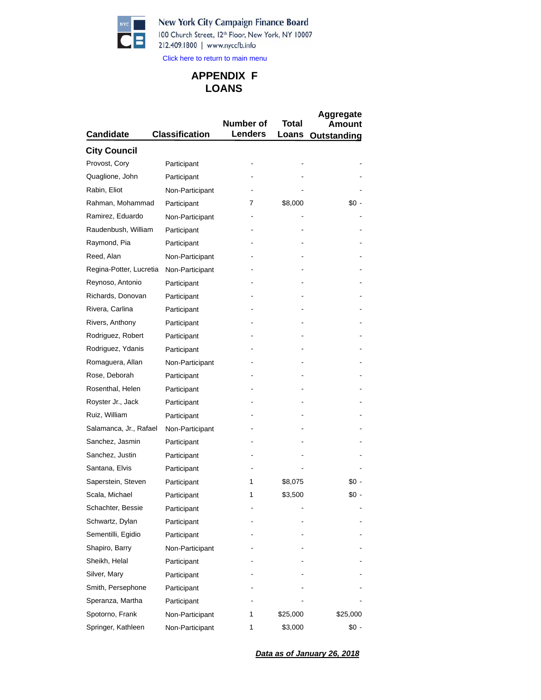

## New York City Campaign Finance Board

100 Church Street, 12th Floor, New York, NY 10007 212.409.1800 | www.nyccfb.info

Click here to return to main menu

## **LOANS APPENDIX F**

|                         |                       | Number of      | <b>Total</b> | Aggregate<br>Amount |  |
|-------------------------|-----------------------|----------------|--------------|---------------------|--|
| <b>Candidate</b>        | <b>Classification</b> | <b>Lenders</b> | Loans        | Outstanding         |  |
| <b>City Council</b>     |                       |                |              |                     |  |
| Provost, Cory           | Participant           |                |              |                     |  |
| Quaglione, John         | Participant           |                |              |                     |  |
| Rabin, Eliot            | Non-Participant       |                |              |                     |  |
| Rahman, Mohammad        | Participant           | 7              | \$8,000      | \$0 -               |  |
| Ramirez, Eduardo        | Non-Participant       |                |              |                     |  |
| Raudenbush, William     | Participant           |                |              |                     |  |
| Raymond, Pia            | Participant           |                |              |                     |  |
| Reed, Alan              | Non-Participant       |                |              |                     |  |
| Regina-Potter, Lucretia | Non-Participant       |                |              |                     |  |
| Reynoso, Antonio        | Participant           |                |              |                     |  |
| Richards, Donovan       | Participant           |                |              |                     |  |
| Rivera, Carlina         | Participant           |                |              |                     |  |
| Rivers, Anthony         | Participant           |                |              |                     |  |
| Rodriguez, Robert       | Participant           |                |              |                     |  |
| Rodriguez, Ydanis       | Participant           |                |              |                     |  |
| Romaguera, Allan        | Non-Participant       |                |              |                     |  |
| Rose, Deborah           | Participant           |                |              |                     |  |
| Rosenthal, Helen        | Participant           |                |              |                     |  |
| Royster Jr., Jack       | Participant           |                |              |                     |  |
| Ruiz, William           | Participant           |                |              |                     |  |
| Salamanca, Jr., Rafael  | Non-Participant       |                |              |                     |  |
| Sanchez, Jasmin         | Participant           |                |              |                     |  |
| Sanchez, Justin         | Participant           |                |              |                     |  |
| Santana, Elvis          | Participant           |                |              |                     |  |
| Saperstein, Steven      | Participant           | 1              | \$8,075      | \$0 -               |  |
| Scala, Michael          | Participant           | 1              | \$3,500      | \$0 -               |  |
| Schachter, Bessie       | Participant           |                |              |                     |  |
| Schwartz, Dylan         | Participant           |                |              |                     |  |
| Sementilli, Egidio      | Participant           |                |              |                     |  |
| Shapiro, Barry          | Non-Participant       |                |              |                     |  |
| Sheikh, Helal           | Participant           |                |              |                     |  |
| Silver, Mary            | Participant           |                |              |                     |  |
| Smith, Persephone       | Participant           |                |              |                     |  |
| Speranza, Martha        | Participant           |                |              |                     |  |
| Spotorno, Frank         | Non-Participant       | 1              | \$25,000     | \$25,000            |  |
| Springer, Kathleen      | Non-Participant       | 1              | \$3,000      | \$0 -               |  |